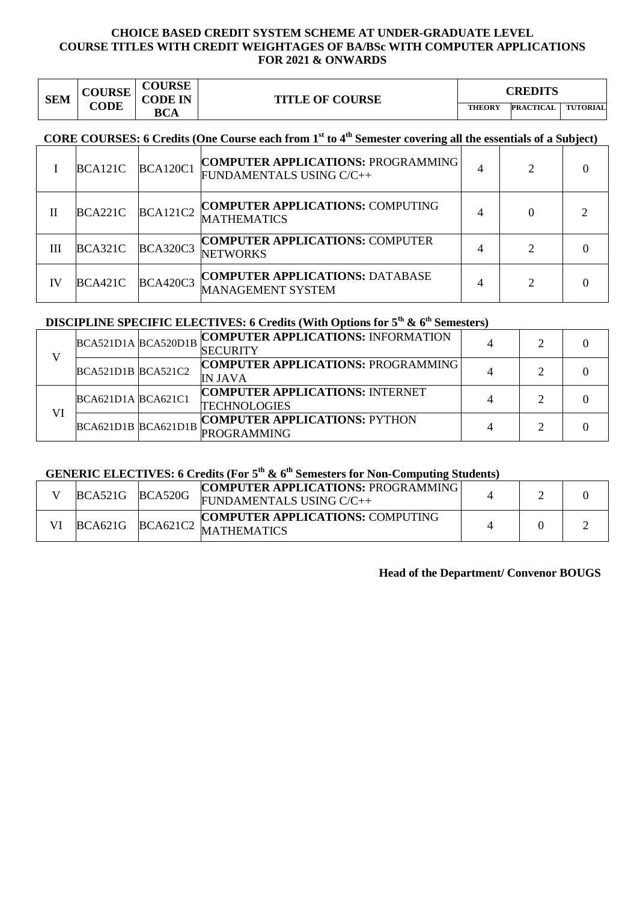#### **CHOICE BASED CREDIT SYSTEM SCHEME AT UNDER-GRADUATE LEVEL COURSE TITLES WITH CREDIT WEIGHTAGES OF BA/BSc WITH COMPUTER APPLICATIONS FOR 2021 & ONWARDS**

| <b>SEM</b> | <b>COURSE</b><br><b>CODE</b> | <b>COURSE</b><br><b>CODE IN</b> | <b>TITLE OF COURSE</b> | CREDITS       |                  |                 |
|------------|------------------------------|---------------------------------|------------------------|---------------|------------------|-----------------|
|            |                              | <b>BCA</b>                      |                        | <b>THEORY</b> | <b>PRACTICAL</b> | <b>TUTORIAL</b> |

# **CORE COURSES: 6 Credits (One Course each from 1st to 4th Semester covering all the essentials of a Subject)**

|    | BCA121C | <b>BCA120C1</b> | <b>COMPUTER APPLICATIONS: PROGRAMMING</b><br>FUNDAMENTALS USING C/C++ |   | ◠ |  |
|----|---------|-----------------|-----------------------------------------------------------------------|---|---|--|
| Н  | BCA221C | <b>BCA121C2</b> | <b>COMPUTER APPLICATIONS: COMPUTING</b><br><b>MATHEMATICS</b>         |   |   |  |
| Ш  | BCA321C | <b>BCA320C3</b> | <b>COMPUTER APPLICATIONS: COMPUTER</b><br><b>NETWORKS</b>             | 4 |   |  |
| IV | BCA421C | <b>BCA420C3</b> | <b>COMPUTER APPLICATIONS: DATABASE</b><br>MANAGEMENT SYSTEM           | 4 |   |  |

# **DISCIPLINE SPECIFIC ELECTIVES: 6 Credits (With Options for 5<sup>t</sup><sup>h</sup> & 6th Semesters)**

|    | BCA521D1A BCA520D1B    | <b>COMPUTER APPLICATIONS: INFORMATION</b><br><b>ISECURITY</b> | ∍ |  |
|----|------------------------|---------------------------------------------------------------|---|--|
|    | $BCA521D1B$ $BCA521C2$ | <b>COMPUTER APPLICATIONS: PROGRAMMING</b><br><b>IN JAVA</b>   |   |  |
| VI | BCA621D1ABCA621C1      | <b>COMPUTER APPLICATIONS: INTERNET</b><br><b>TECHNOLOGIES</b> | ∍ |  |
|    | BCA621D1B BCA621D1B    | <b>COMPUTER APPLICATIONS: PYTHON</b><br><b>PROGRAMMING</b>    | ◠ |  |

# **GENERIC ELECTIVES: 6 Credits (For 5th & 6th Semesters for Non-Computing Students)**

| BCA521G | <b>BCA520G</b>  | <b>COMPUTER APPLICATIONS: PROGRAMMING</b><br>FUNDAMENTALS USING C/C++ |  |  |
|---------|-----------------|-----------------------------------------------------------------------|--|--|
| BCA621G | <b>BCA621C2</b> | <b>COMPUTER APPLICATIONS: COMPUTING</b><br><b>MATHEMATICS</b>         |  |  |

#### **Head of the Department/ Convenor BOUGS**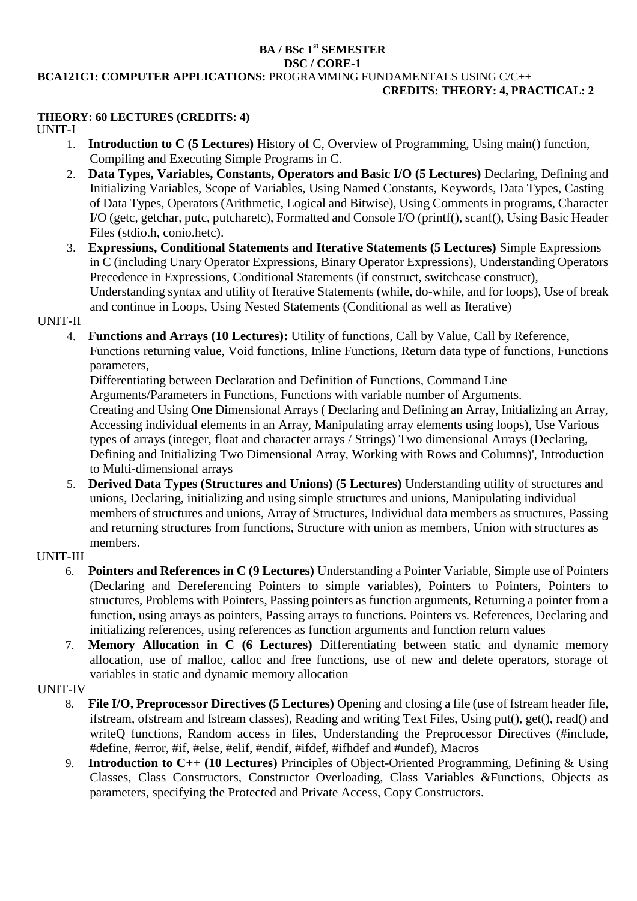#### **BA / BSc 1st SEMESTER DSC / CORE-1 BCA121C1: COMPUTER APPLICATIONS:** PROGRAMMING FUNDAMENTALS USING C/C++ **CREDITS: THEORY: 4, PRACTICAL: 2**

#### **THEORY: 60 LECTURES (CREDITS: 4)**

UNIT-I

- 1. **Introduction to C (5 Lectures)** History of C, Overview of Programming, Using main() function, Compiling and Executing Simple Programs in C.
- 2. **Data Types, Variables, Constants, Operators and Basic I/O (5 Lectures)** Declaring, Defining and Initializing Variables, Scope of Variables, Using Named Constants, Keywords, Data Types, Casting of Data Types, Operators (Arithmetic, Logical and Bitwise), Using Comments in programs, Character I/O (getc, getchar, putc, putcharetc), Formatted and Console I/O (printf(), scanf(), Using Basic Header Files (stdio.h, conio.hetc).
- 3. **Expressions, Conditional Statements and Iterative Statements (5 Lectures)** Simple Expressions in C (including Unary Operator Expressions, Binary Operator Expressions), Understanding Operators Precedence in Expressions, Conditional Statements (if construct, switchcase construct), Understanding syntax and utility of Iterative Statements (while, do-while, and for loops), Use of break and continue in Loops, Using Nested Statements (Conditional as well as Iterative)

#### UNIT-II

4. **Functions and Arrays (10 Lectures):** Utility of functions, Call by Value, Call by Reference, Functions returning value, Void functions, Inline Functions, Return data type of functions, Functions parameters,

Differentiating between Declaration and Definition of Functions, Command Line Arguments/Parameters in Functions, Functions with variable number of Arguments. Creating and Using One Dimensional Arrays ( Declaring and Defining an Array, Initializing an Array, Accessing individual elements in an Array, Manipulating array elements using loops), Use Various types of arrays (integer, float and character arrays / Strings) Two dimensional Arrays (Declaring, Defining and Initializing Two Dimensional Array, Working with Rows and Columns)', Introduction to Multi-dimensional arrays

5. **Derived Data Types (Structures and Unions) (5 Lectures)** Understanding utility of structures and unions, Declaring, initializing and using simple structures and unions, Manipulating individual members of structures and unions, Array of Structures, Individual data members as structures, Passing and returning structures from functions, Structure with union as members, Union with structures as members.

## UNIT-III

- 6. **Pointers and References in C (9 Lectures)** Understanding a Pointer Variable, Simple use of Pointers (Declaring and Dereferencing Pointers to simple variables), Pointers to Pointers, Pointers to structures, Problems with Pointers, Passing pointers as function arguments, Returning a pointer from a function, using arrays as pointers, Passing arrays to functions. Pointers vs. References, Declaring and initializing references, using references as function arguments and function return values
- 7. **Memory Allocation in C (6 Lectures)** Differentiating between static and dynamic memory allocation, use of malloc, calloc and free functions, use of new and delete operators, storage of variables in static and dynamic memory allocation

# UNIT-IV

- 8. **File I/O, Preprocessor Directives (5 Lectures)** Opening and closing a file (use of fstream header file, ifstream, ofstream and fstream classes), Reading and writing Text Files, Using put(), get(), read() and writeQ functions, Random access in files, Understanding the Preprocessor Directives (#include, #define, #error, #if, #else, #elif, #endif, #ifdef, #ifhdef and #undef), Macros
- 9. **Introduction to C++ (10 Lectures)** Principles of Object-Oriented Programming, Defining & Using Classes, Class Constructors, Constructor Overloading, Class Variables &Functions, Objects as parameters, specifying the Protected and Private Access, Copy Constructors.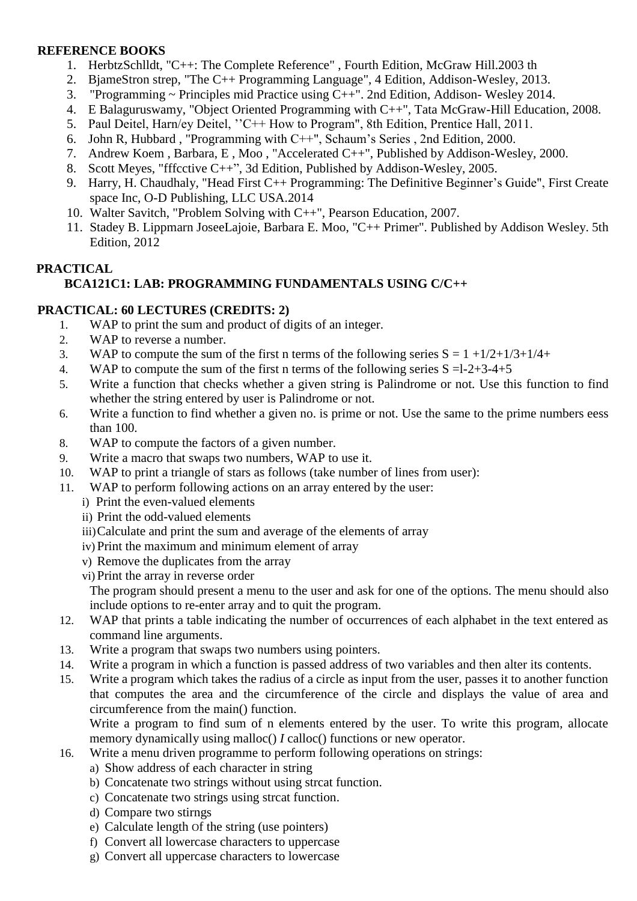## **REFERENCE BOOKS**

- 1. HerbtzSchlldt, "C++: The Complete Reference" , Fourth Edition, McGraw Hill.2003 th
- 2. BjameStron strep, "The C++ Programming Language", 4 Edition, Addison-Wesley, 2013.
- 3. "Programming  $\sim$  Principles mid Practice using C++". 2nd Edition, Addison-Wesley 2014.
- 4. E Balaguruswamy, "Object Oriented Programming with C++", Tata McGraw-Hill Education, 2008.
- 5. Paul Deitel, Harn/ey Deitel, ''C++ How to Program", 8th Edition, Prentice Hall, 2011.
- 6. John R, Hubbard , "Programming with C++", Schaum's Series , 2nd Edition, 2000.
- 7. Andrew Koem , Barbara, E , Moo , "Accelerated C++", Published by Addison-Wesley, 2000.
- 8. Scott Meyes, "fffcctive C++", 3d Edition, Published by Addison-Wesley, 2005.
- 9. Harry, H. Chaudhaly, "Head First C++ Programming: The Definitive Beginner's Guide", First Create space Inc, O-D Publishing, LLC USA.2014
- 10. Walter Savitch, "Problem Solving with C++", Pearson Education, 2007.
- 11. Stadey B. Lippmarn JoseeLajoie, Barbara E. Moo, "C++ Primer". Published by Addison Wesley. 5th Edition, 2012

# **PRACTICAL BCA121C1: LAB: PROGRAMMING FUNDAMENTALS USING C/C++**

## **PRACTICAL: 60 LECTURES (CREDITS: 2)**

- 1. WAP to print the sum and product of digits of an integer.
- 2. WAP to reverse a number.
- 3. WAP to compute the sum of the first n terms of the following series  $S = 1 + 1/2 + 1/3 + 1/4 +$
- 4. WAP to compute the sum of the first n terms of the following series  $S = 1-2+3-4+5$
- 5. Write a function that checks whether a given string is Palindrome or not. Use this function to find whether the string entered by user is Palindrome or not.
- 6. Write a function to find whether a given no. is prime or not. Use the same to the prime numbers eess than 100.
- 8. WAP to compute the factors of a given number.
- 9. Write a macro that swaps two numbers, WAP to use it.
- 10. WAP to print a triangle of stars as follows (take number of lines from user):
- 11. WAP to perform following actions on an array entered by the user:
	- i) Print the even-valued elements
	- ii) Print the odd-valued elements
	- iii)Calculate and print the sum and average of the elements of array
	- iv) Print the maximum and minimum element of array
	- v) Remove the duplicates from the array
	- vi) Print the array in reverse order

The program should present a menu to the user and ask for one of the options. The menu should also include options to re-enter array and to quit the program.

- 12. WAP that prints a table indicating the number of occurrences of each alphabet in the text entered as command line arguments.
- 13. Write a program that swaps two numbers using pointers.
- 14. Write a program in which a function is passed address of two variables and then alter its contents.
- 15. Write a program which takes the radius of a circle as input from the user, passes it to another function that computes the area and the circumference of the circle and displays the value of area and circumference from the main() function.

Write a program to find sum of n elements entered by the user. To write this program, allocate memory dynamically using malloc() *I* calloc() functions or new operator.

- 16. Write a menu driven programme to perform following operations on strings:
	- a) Show address of each character in string
	- b) Concatenate two strings without using strcat function.
	- c) Concatenate two strings using strcat function.
	- d) Compare two stirngs
	- e) Calculate length Of the string (use pointers)
	- f) Convert all lowercase characters to uppercase
	- g) Convert all uppercase characters to lowercase